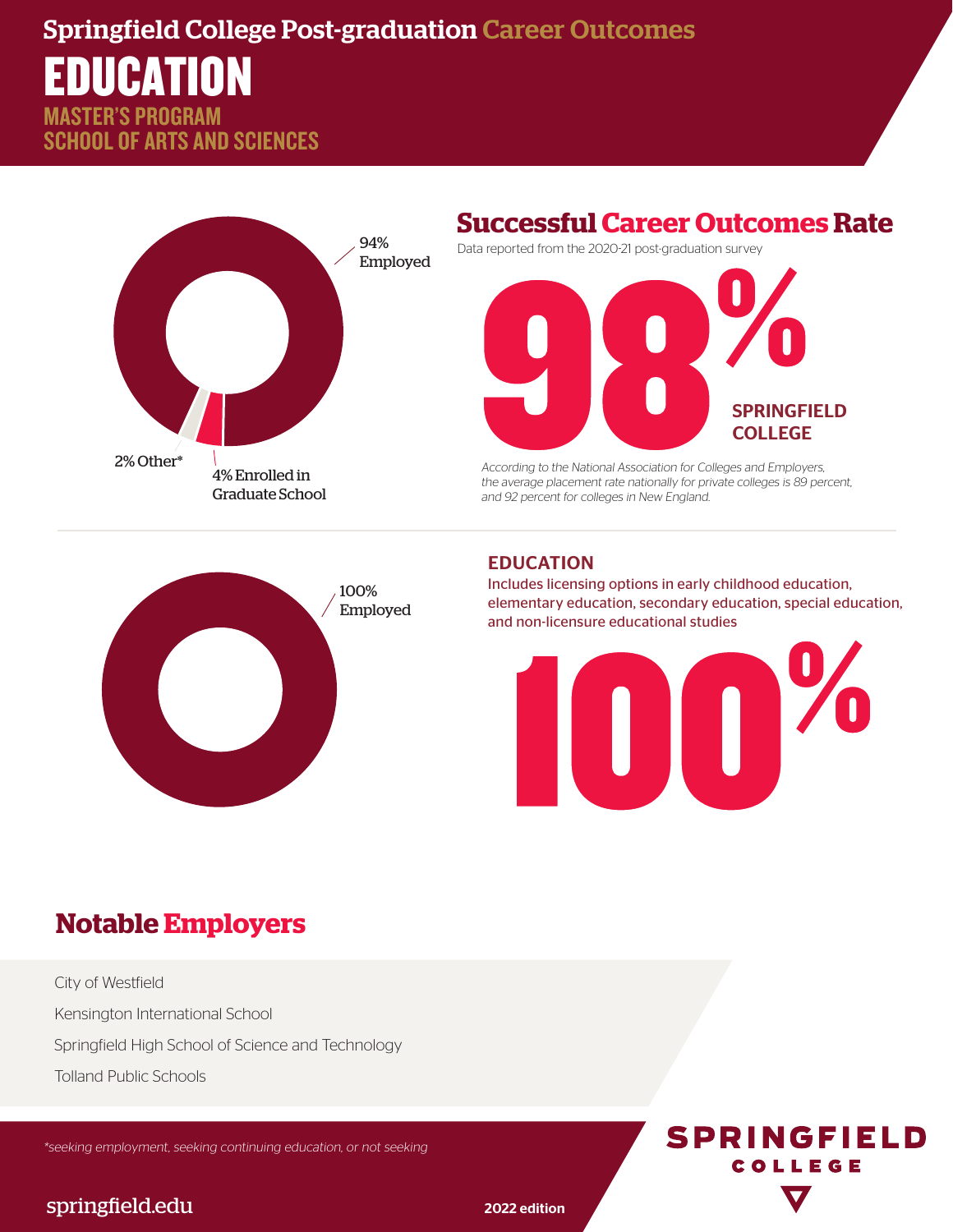## Springfield College Post-graduation Career Outcomes

## EDUCATION STER'S PROGRAM

SCHOOL OF ARTS AND SCIENCES



### **Successful Career Outcomes Rate**

Data reported from the 2020-21 post-graduation survey



According to the National Association for Colleges and Employers, the average placement rate nationally for private colleges is 89 percent, and 92 percent for colleges in New England.



#### EDUCATION

Includes licensing options in early childhood education, elementary education, secondary education, special education, and non-licensure educational studies



## **Notable Employers**

City of Westfield Kensington International School Springfield High School of Science and Technology Tolland Public Schools

\*seeking employment, seeking continuing education, or not seeking



#### springfield.edu 2022 edition